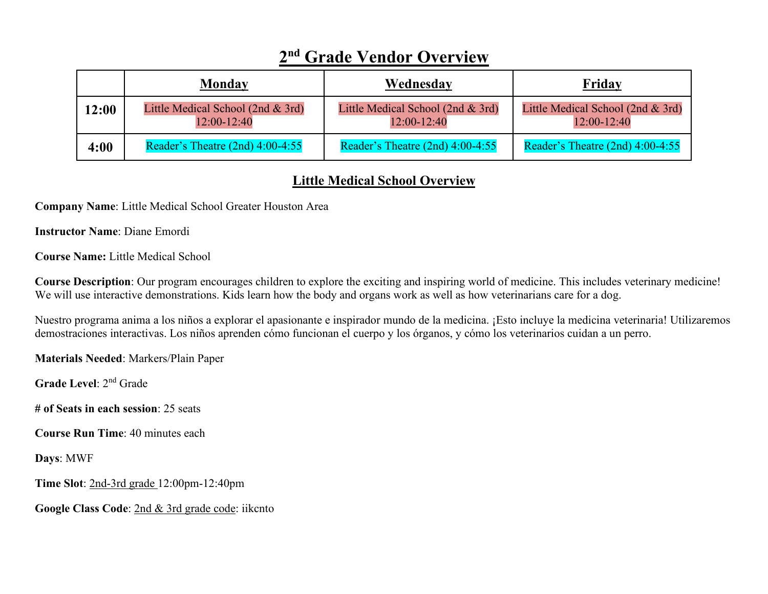|       | <b>Monday</b>                                    | Wednesday                                        | Friday                                             |
|-------|--------------------------------------------------|--------------------------------------------------|----------------------------------------------------|
| 12:00 | Little Medical School (2nd & 3rd)<br>12:00-12:40 | Little Medical School (2nd & 3rd)<br>12:00-12:40 | Little Medical School (2nd $&$ 3rd)<br>12:00-12:40 |
| 4:00  | Reader's Theatre $(2nd)$ 4:00-4:55               | Reader's Theatre $(2nd)$ 4:00-4:55               | Reader's Theatre $(2nd)$ 4:00-4:55                 |

## **2nd Grade Vendor Overview**

## **Little Medical School Overview**

**Company Name**: Little Medical School Greater Houston Area

**Instructor Name**: Diane Emordi

**Course Name:** Little Medical School

**Course Description**: Our program encourages children to explore the exciting and inspiring world of medicine. This includes veterinary medicine! We will use interactive demonstrations. Kids learn how the body and organs work as well as how veterinarians care for a dog.

Nuestro programa anima a los niños a explorar el apasionante e inspirador mundo de la medicina. ¡Esto incluye la medicina veterinaria! Utilizaremos demostraciones interactivas. Los niños aprenden cómo funcionan el cuerpo y los órganos, y cómo los veterinarios cuidan a un perro.

**Materials Needed**: Markers/Plain Paper

**Grade Level**: 2nd Grade

**# of Seats in each session**: 25 seats

**Course Run Time**: 40 minutes each

**Days**: MWF

**Time Slot**: 2nd-3rd grade 12:00pm-12:40pm

**Google Class Code**: 2nd & 3rd grade code: iikcnto